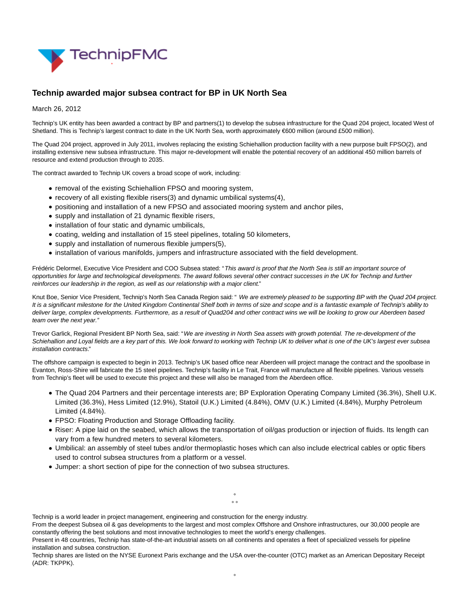

## **Technip awarded major subsea contract for BP in UK North Sea**

March 26, 2012

Technip's UK entity has been awarded a contract by BP and partners(1) to develop the subsea infrastructure for the Quad 204 project, located West of Shetland. This is Technip's largest contract to date in the UK North Sea, worth approximately €600 million (around £500 million).

The Quad 204 project, approved in July 2011, involves replacing the existing Schiehallion production facility with a new purpose built FPSO(2), and installing extensive new subsea infrastructure. This major re-development will enable the potential recovery of an additional 450 million barrels of resource and extend production through to 2035.

The contract awarded to Technip UK covers a broad scope of work, including:

- removal of the existing Schiehallion FPSO and mooring system,
- recovery of all existing flexible risers(3) and dynamic umbilical systems(4),
- positioning and installation of a new FPSO and associated mooring system and anchor piles,
- supply and installation of 21 dynamic flexible risers,
- installation of four static and dynamic umbilicals,
- coating, welding and installation of 15 steel pipelines, totaling 50 kilometers,
- supply and installation of numerous flexible jumpers(5),
- installation of various manifolds, jumpers and infrastructure associated with the field development.

Frédéric Delormel, Executive Vice President and COO Subsea stated: "This award is proof that the North Sea is still an important source of opportunities for large and technological developments. The award follows several other contract successes in the UK for Technip and further reinforces our leadership in the region, as well as our relationship with a major client."

Knut Boe, Senior Vice President, Technip's North Sea Canada Region said: "We are extremely pleased to be supporting BP with the Quad 204 project. It is a significant milestone for the United Kingdom Continental Shelf both in terms of size and scope and is a fantastic example of Technip's ability to deliver large, complex developments. Furthermore, as a result of Quad204 and other contract wins we will be looking to grow our Aberdeen based team over the next year."

Trevor Garlick, Regional President BP North Sea, said: "We are investing in North Sea assets with growth potential. The re-development of the Schiehallion and Loyal fields are a key part of this. We look forward to working with Technip UK to deliver what is one of the UK's largest ever subsea installation contracts."

The offshore campaign is expected to begin in 2013. Technip's UK based office near Aberdeen will project manage the contract and the spoolbase in Evanton, Ross-Shire will fabricate the 15 steel pipelines. Technip's facility in Le Trait, France will manufacture all flexible pipelines. Various vessels from Technip's fleet will be used to execute this project and these will also be managed from the Aberdeen office.

- The Quad 204 Partners and their percentage interests are; BP Exploration Operating Company Limited (36.3%), Shell U.K. Limited (36.3%), Hess Limited (12.9%), Statoil (U.K.) Limited (4.84%), OMV (U.K.) Limited (4.84%), Murphy Petroleum Limited (4.84%).
- FPSO: Floating Production and Storage Offloading facility.
- Riser: A pipe laid on the seabed, which allows the transportation of oil/gas production or injection of fluids. Its length can vary from a few hundred meters to several kilometers.
- Umbilical: an assembly of steel tubes and/or thermoplastic hoses which can also include electrical cables or optic fibers used to control subsea structures from a platform or a vessel.
- Jumper: a short section of pipe for the connection of two subsea structures.

°  $\circ$   $\circ$ 

Technip is a world leader in project management, engineering and construction for the energy industry.

From the deepest Subsea oil & gas developments to the largest and most complex Offshore and Onshore infrastructures, our 30,000 people are constantly offering the best solutions and most innovative technologies to meet the world's energy challenges.

Present in 48 countries, Technip has state-of-the-art industrial assets on all continents and operates a fleet of specialized vessels for pipeline installation and subsea construction.

Technip shares are listed on the NYSE Euronext Paris exchange and the USA over-the-counter (OTC) market as an American Depositary Receipt (ADR: TKPPK).